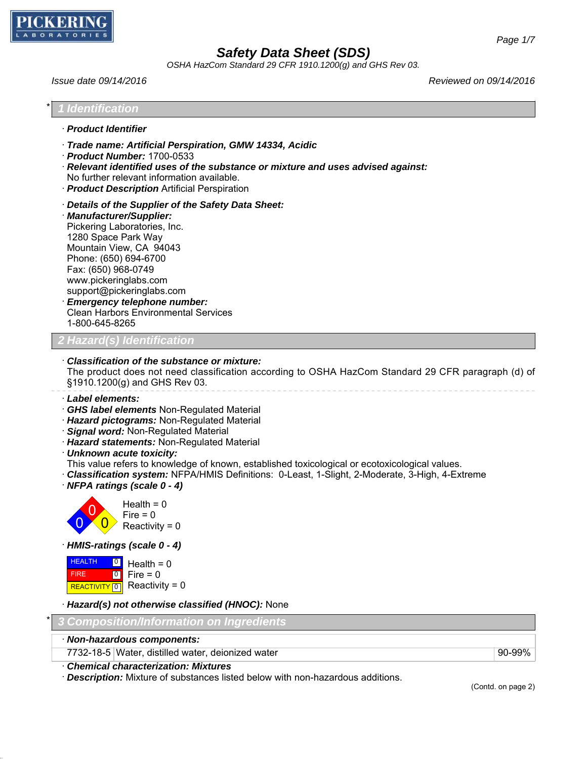

*OSHA HazCom Standard 29 CFR 1910.1200(g) and GHS Rev 03.*

*Issue date 09/14/2016 Reviewed on 09/14/2016*

| <b>Identification</b>                                                                 |                                                                                                                                                                                                                                                                                                                                                                                                                                                             |
|---------------------------------------------------------------------------------------|-------------------------------------------------------------------------------------------------------------------------------------------------------------------------------------------------------------------------------------------------------------------------------------------------------------------------------------------------------------------------------------------------------------------------------------------------------------|
| · Product Identifier                                                                  |                                                                                                                                                                                                                                                                                                                                                                                                                                                             |
|                                                                                       | Trade name: Artificial Perspiration, GMW 14334, Acidic<br>Product Number: 1700-0533<br>· Relevant identified uses of the substance or mixture and uses advised against:<br>No further relevant information available.<br>· Product Description Artificial Perspiration                                                                                                                                                                                      |
| 1280 Space Park Way<br>Phone: (650) 694-6700<br>Fax: (650) 968-0749<br>1-800-645-8265 | Details of the Supplier of the Safety Data Sheet:<br>· Manufacturer/Supplier:<br>Pickering Laboratories, Inc.<br>Mountain View, CA 94043<br>www.pickeringlabs.com<br>support@pickeringlabs.com<br>· Emergency telephone number:<br><b>Clean Harbors Environmental Services</b>                                                                                                                                                                              |
|                                                                                       | 2 Hazard(s) Identification                                                                                                                                                                                                                                                                                                                                                                                                                                  |
|                                                                                       | Classification of the substance or mixture:<br>The product does not need classification according to OSHA HazCom Standard 29 CFR paragraph (d) of<br>§1910.1200(g) and GHS Rev 03.                                                                                                                                                                                                                                                                          |
| · Label elements:                                                                     | · GHS label elements Non-Regulated Material<br>· Hazard pictograms: Non-Regulated Material<br>· Signal word: Non-Regulated Material<br>· Hazard statements: Non-Regulated Material<br>· Unknown acute toxicity:<br>This value refers to knowledge of known, established toxicological or ecotoxicological values.<br>· Classification system: NFPA/HMIS Definitions: 0-Least, 1-Slight, 2-Moderate, 3-High, 4-Extreme<br>$\cdot$ NFPA ratings (scale 0 - 4) |
|                                                                                       | Health = $0$<br>Fire $= 0$<br>Reactivity = $0$                                                                                                                                                                                                                                                                                                                                                                                                              |
|                                                                                       | · HMIS-ratings (scale 0 - 4)                                                                                                                                                                                                                                                                                                                                                                                                                                |
| <b>HEALTH</b><br>0<br> 0 <br><b>FIRE</b><br>$\boxed{0}$<br><b>REACTIVITY</b>          | Health = $0$<br>Fire $= 0$<br>Reactivity = $0$                                                                                                                                                                                                                                                                                                                                                                                                              |
|                                                                                       | · Hazard(s) not otherwise classified (HNOC): None                                                                                                                                                                                                                                                                                                                                                                                                           |
|                                                                                       | <b>Composition/Information on Ingredients</b>                                                                                                                                                                                                                                                                                                                                                                                                               |
|                                                                                       | · Non-hazardous components:                                                                                                                                                                                                                                                                                                                                                                                                                                 |

7732-18-5 Water, distilled water, deionized water example and all the state of the 90-99%

(Contd. on page 2)

· *Chemical characterization: Mixtures*

· *Description:* Mixture of substances listed below with non-hazardous additions.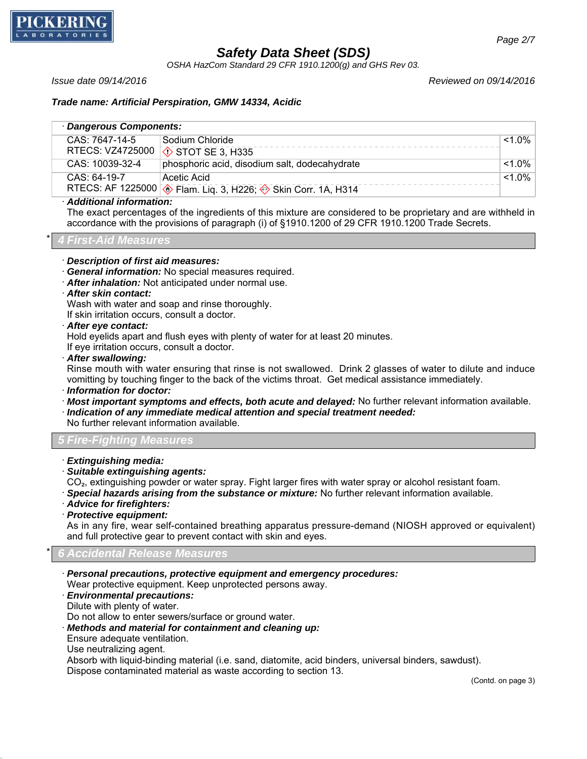

*OSHA HazCom Standard 29 CFR 1910.1200(g) and GHS Rev 03.*

*Issue date 09/14/2016 Reviewed on 09/14/2016*

### *Trade name: Artificial Perspiration, GMW 14334, Acidic*

| · Dangerous Components: |                                                               |           |  |  |  |
|-------------------------|---------------------------------------------------------------|-----------|--|--|--|
| CAS: 7647-14-5          | Sodium Chloride                                               | $< 1.0\%$ |  |  |  |
|                         | RTECS: VZ4725000 3 STOT SE 3, H335                            |           |  |  |  |
| CAS: 10039-32-4         | phosphoric acid, disodium salt, dodecahydrate                 | $< 1.0\%$ |  |  |  |
| $CAS: 64-19-7$          | Acetic Acid                                                   | $< 1.0\%$ |  |  |  |
|                         | RTECS: AF 1225000 → Flam. Liq. 3, H226; → Skin Corr. 1A, H314 |           |  |  |  |

#### · *Additional information:*

The exact percentages of the ingredients of this mixture are considered to be proprietary and are withheld in accordance with the provisions of paragraph (i) of §1910.1200 of 29 CFR 1910.1200 Trade Secrets.

#### \* *4 First-Aid Measures*

· *Description of first aid measures:*

- · *General information:* No special measures required.
- · *After inhalation:* Not anticipated under normal use.
- · *After skin contact:*

Wash with water and soap and rinse thoroughly.

If skin irritation occurs, consult a doctor.

· *After eye contact:*

Hold eyelids apart and flush eyes with plenty of water for at least 20 minutes.

If eye irritation occurs, consult a doctor.

· *After swallowing:*

Rinse mouth with water ensuring that rinse is not swallowed. Drink 2 glasses of water to dilute and induce vomitting by touching finger to the back of the victims throat. Get medical assistance immediately.

· *Information for doctor:*

· *Most important symptoms and effects, both acute and delayed:* No further relevant information available. · *Indication of any immediate medical attention and special treatment needed:*

No further relevant information available.

# *5 Fire-Fighting Measures*

- · *Extinguishing media:*
- · *Suitable extinguishing agents:*
- CO<sub>2</sub>, extinguishing powder or water spray. Fight larger fires with water spray or alcohol resistant foam.
- · *Special hazards arising from the substance or mixture:* No further relevant information available.
- · *Advice for firefighters:*
- · *Protective equipment:*

As in any fire, wear self-contained breathing apparatus pressure-demand (NIOSH approved or equivalent) and full protective gear to prevent contact with skin and eyes.

### \* *6 Accidental Release Measures*

· *Personal precautions, protective equipment and emergency procedures:* Wear protective equipment. Keep unprotected persons away.

#### · *Environmental precautions:*

Dilute with plenty of water.

Do not allow to enter sewers/surface or ground water.

· *Methods and material for containment and cleaning up:*

Ensure adequate ventilation.

Use neutralizing agent.

Absorb with liquid-binding material (i.e. sand, diatomite, acid binders, universal binders, sawdust).

Dispose contaminated material as waste according to section 13.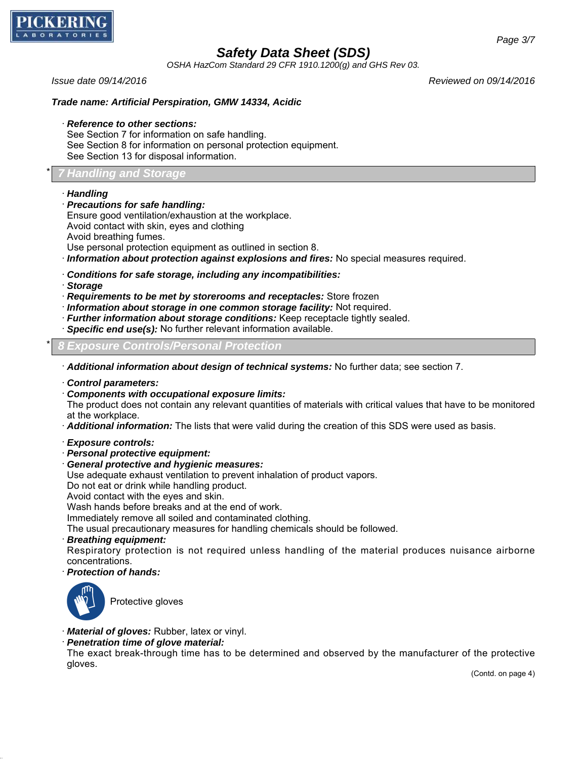

*OSHA HazCom Standard 29 CFR 1910.1200(g) and GHS Rev 03.*

*Issue date 09/14/2016 Reviewed on 09/14/2016*

## *Trade name: Artificial Perspiration, GMW 14334, Acidic*

· *Reference to other sections:*

See Section 7 for information on safe handling. See Section 8 for information on personal protection equipment. See Section 13 for disposal information.

#### \* *7 Handling and Storage*

#### · *Handling*

· *Precautions for safe handling:*

Ensure good ventilation/exhaustion at the workplace.

- Avoid contact with skin, eyes and clothing
- Avoid breathing fumes.
- Use personal protection equipment as outlined in section 8.
- · *Information about protection against explosions and fires:* No special measures required.
- · *Conditions for safe storage, including any incompatibilities:*
- · *Storage*
- · *Requirements to be met by storerooms and receptacles:* Store frozen
- · *Information about storage in one common storage facility:* Not required.
- · *Further information about storage conditions:* Keep receptacle tightly sealed.
- · *Specific end use(s):* No further relevant information available.

\* *8 Exposure Controls/Personal Protection*

· *Additional information about design of technical systems:* No further data; see section 7.

- · *Control parameters:*
- · *Components with occupational exposure limits:*

The product does not contain any relevant quantities of materials with critical values that have to be monitored at the workplace.

- · *Additional information:* The lists that were valid during the creation of this SDS were used as basis.
- · *Exposure controls:*
- · *Personal protective equipment:*
- · *General protective and hygienic measures:*
- Use adequate exhaust ventilation to prevent inhalation of product vapors.
- Do not eat or drink while handling product.
- Avoid contact with the eyes and skin.

Wash hands before breaks and at the end of work.

Immediately remove all soiled and contaminated clothing.

The usual precautionary measures for handling chemicals should be followed.

· *Breathing equipment:*

Respiratory protection is not required unless handling of the material produces nuisance airborne concentrations.

· *Protection of hands:*



Protective gloves

- · *Material of gloves:* Rubber, latex or vinyl.
- · *Penetration time of glove material:*

The exact break-through time has to be determined and observed by the manufacturer of the protective gloves.

(Contd. on page 4)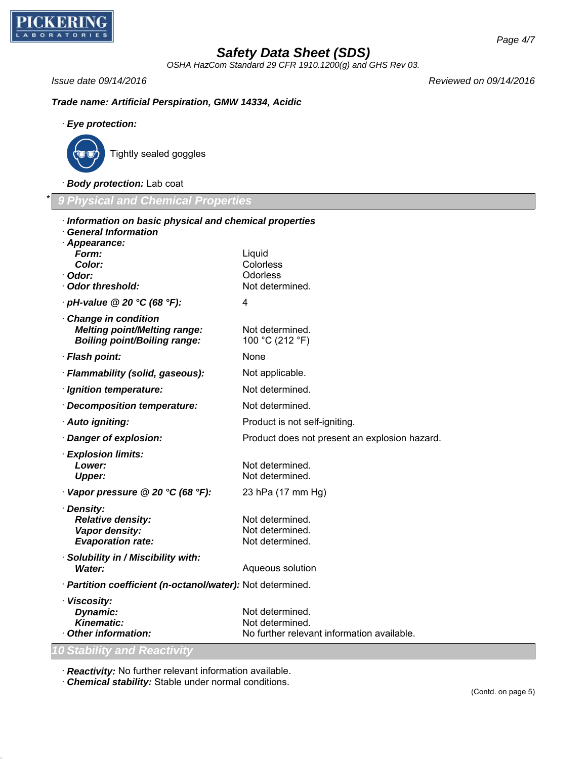

*OSHA HazCom Standard 29 CFR 1910.1200(g) and GHS Rev 03.*

*Issue date 09/14/2016 Reviewed on 09/14/2016*

*Trade name: Artificial Perspiration, GMW 14334, Acidic*

### · *Eye protection:*



Tightly sealed goggles

· *Body protection:* Lab coat

\* *9 Physical and Chemical Properties*

| Information on basic physical and chemical properties<br><b>General Information</b> |                                                               |
|-------------------------------------------------------------------------------------|---------------------------------------------------------------|
| Appearance:                                                                         |                                                               |
| Form:                                                                               | Liquid                                                        |
| Color:                                                                              | Colorless                                                     |
| · Odor:                                                                             | Odorless                                                      |
| Odor threshold:                                                                     | Not determined.                                               |
| $\cdot$ pH-value @ 20 $\degree$ C (68 $\degree$ F):                                 | 4                                                             |
| Change in condition                                                                 |                                                               |
| <b>Melting point/Melting range:</b>                                                 | Not determined.                                               |
| <b>Boiling point/Boiling range:</b>                                                 | 100 °C (212 °F)                                               |
| · Flash point:                                                                      | None                                                          |
| · Flammability (solid, gaseous):                                                    | Not applicable.                                               |
| · Ignition temperature:                                                             | Not determined.                                               |
| · Decomposition temperature:                                                        | Not determined.                                               |
| · Auto igniting:                                                                    | Product is not self-igniting.                                 |
| Danger of explosion:                                                                | Product does not present an explosion hazard.                 |
| · Explosion limits:                                                                 |                                                               |
| Lower:                                                                              | Not determined.                                               |
| <b>Upper:</b>                                                                       | Not determined.                                               |
| $\cdot$ Vapor pressure @ 20 °C (68 °F):                                             | 23 hPa (17 mm Hg)                                             |
| · Density:                                                                          |                                                               |
| <b>Relative density:</b>                                                            | Not determined.                                               |
| Vapor density:<br><b>Evaporation rate:</b>                                          | Not determined.<br>Not determined.                            |
|                                                                                     |                                                               |
| · Solubility in / Miscibility with:                                                 |                                                               |
| <b>Water:</b>                                                                       | Aqueous solution                                              |
| · Partition coefficient (n-octanol/water): Not determined.                          |                                                               |
| · Viscosity:                                                                        |                                                               |
| Dynamic:                                                                            | Not determined.                                               |
| Kinematic:<br>Other information:                                                    | Not determined.<br>No further relevant information available. |
|                                                                                     |                                                               |
| <b>10 Stability and Reactivity</b>                                                  |                                                               |
|                                                                                     |                                                               |

· *Reactivity:* No further relevant information available.

· *Chemical stability:* Stable under normal conditions.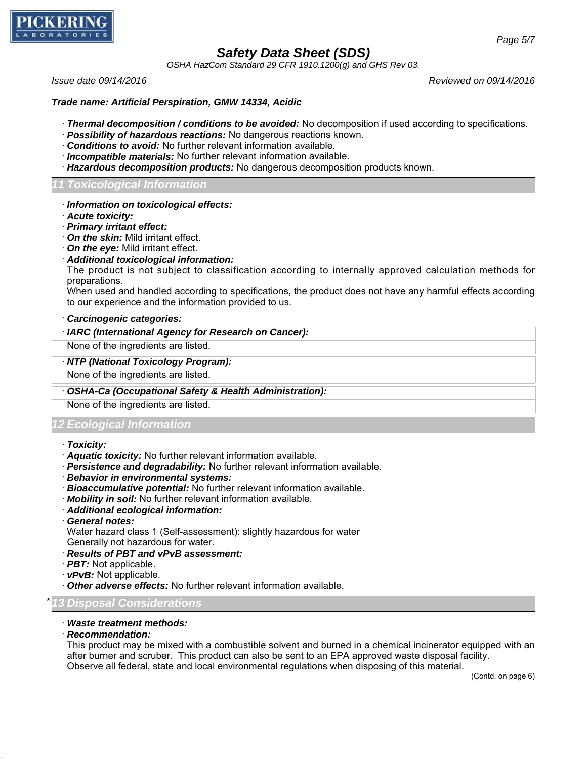

*OSHA HazCom Standard 29 CFR 1910.1200(g) and GHS Rev 03.*

*Issue date 09/14/2016 Reviewed on 09/14/2016*

### *Trade name: Artificial Perspiration, GMW 14334, Acidic*

- · *Thermal decomposition / conditions to be avoided:* No decomposition if used according to specifications.
- · *Possibility of hazardous reactions:* No dangerous reactions known.
- · *Conditions to avoid:* No further relevant information available.
- · *Incompatible materials:* No further relevant information available.
- · *Hazardous decomposition products:* No dangerous decomposition products known.

## *11 Toxicological Information*

#### · *Information on toxicological effects:*

- · *Acute toxicity:*
- · *Primary irritant effect:*
- · *On the skin:* Mild irritant effect.
- · *On the eye:* Mild irritant effect.
- · *Additional toxicological information:*

The product is not subject to classification according to internally approved calculation methods for preparations.

When used and handled according to specifications, the product does not have any harmful effects according to our experience and the information provided to us.

#### · *Carcinogenic categories:*

## · *IARC (International Agency for Research on Cancer):*

None of the ingredients are listed.

### · *NTP (National Toxicology Program):*

None of the ingredients are listed.

#### · *OSHA-Ca (Occupational Safety & Health Administration):*

None of the ingredients are listed.

# *Ecological Informat*

#### · *Toxicity:*

- · *Aquatic toxicity:* No further relevant information available.
- · *Persistence and degradability:* No further relevant information available.
- · *Behavior in environmental systems:*
- · *Bioaccumulative potential:* No further relevant information available.
- · *Mobility in soil:* No further relevant information available.
- · *Additional ecological information:*
- · *General notes:* Water hazard class 1 (Self-assessment): slightly hazardous for water
- Generally not hazardous for water.
- · *Results of PBT and vPvB assessment:*
- · *PBT:* Not applicable.
- · *vPvB:* Not applicable.
- · *Other adverse effects:* No further relevant information available.

#### \* *13 Disposal Considerations*

#### · *Waste treatment methods:*

· *Recommendation:*

This product may be mixed with a combustible solvent and burned in a chemical incinerator equipped with an after burner and scruber. This product can also be sent to an EPA approved waste disposal facility. Observe all federal, state and local environmental regulations when disposing of this material.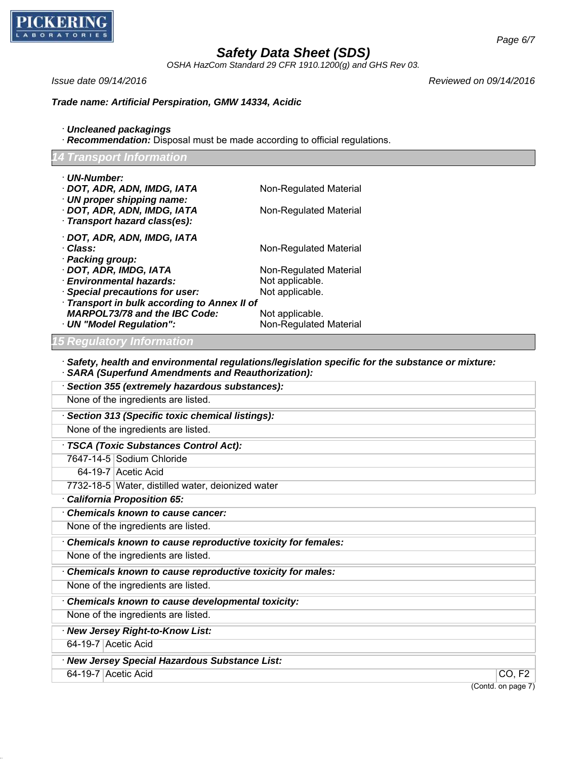

*OSHA HazCom Standard 29 CFR 1910.1200(g) and GHS Rev 03.*

*Issue date 09/14/2016 Reviewed on 09/14/2016*

## *Trade name: Artificial Perspiration, GMW 14334, Acidic*

- · *Uncleaned packagings*
- · *Recommendation:* Disposal must be made according to official regulations.

# *14 Transport Information*

| · UN-Number:                                                |                                                                                                         |                    |  |  |  |
|-------------------------------------------------------------|---------------------------------------------------------------------------------------------------------|--------------------|--|--|--|
| · DOT, ADR, ADN, IMDG, IATA                                 | Non-Regulated Material                                                                                  |                    |  |  |  |
| · UN proper shipping name:                                  |                                                                                                         |                    |  |  |  |
| · DOT, ADR, ADN, IMDG, IATA                                 | Non-Regulated Material                                                                                  |                    |  |  |  |
| · Transport hazard class(es):                               |                                                                                                         |                    |  |  |  |
| · DOT, ADR, ADN, IMDG, IATA                                 |                                                                                                         |                    |  |  |  |
| · Class:                                                    | Non-Regulated Material                                                                                  |                    |  |  |  |
| · Packing group:                                            |                                                                                                         |                    |  |  |  |
| · DOT, ADR, IMDG, IATA<br>· Environmental hazards:          | Non-Regulated Material<br>Not applicable.                                                               |                    |  |  |  |
| <b>Special precautions for user:</b>                        | Not applicable.                                                                                         |                    |  |  |  |
| · Transport in bulk according to Annex II of                |                                                                                                         |                    |  |  |  |
| <b>MARPOL73/78 and the IBC Code:</b>                        | Not applicable.                                                                                         |                    |  |  |  |
| · UN "Model Regulation":                                    | Non-Regulated Material                                                                                  |                    |  |  |  |
| 5 Regulatory Information                                    |                                                                                                         |                    |  |  |  |
|                                                             |                                                                                                         |                    |  |  |  |
| <b>SARA (Superfund Amendments and Reauthorization):</b>     | $\cdot$ Safety, health and environmental regulations/legislation specific for the substance or mixture: |                    |  |  |  |
| Section 355 (extremely hazardous substances):               |                                                                                                         |                    |  |  |  |
| None of the ingredients are listed.                         |                                                                                                         |                    |  |  |  |
| Section 313 (Specific toxic chemical listings):             |                                                                                                         |                    |  |  |  |
| None of the ingredients are listed.                         |                                                                                                         |                    |  |  |  |
| · TSCA (Toxic Substances Control Act):                      |                                                                                                         |                    |  |  |  |
| 7647-14-5 Sodium Chloride                                   |                                                                                                         |                    |  |  |  |
| 64-19-7 Acetic Acid                                         |                                                                                                         |                    |  |  |  |
| 7732-18-5 Water, distilled water, deionized water           |                                                                                                         |                    |  |  |  |
| · California Proposition 65:                                |                                                                                                         |                    |  |  |  |
| Chemicals known to cause cancer:                            |                                                                                                         |                    |  |  |  |
| None of the ingredients are listed.                         |                                                                                                         |                    |  |  |  |
| Chemicals known to cause reproductive toxicity for females: |                                                                                                         |                    |  |  |  |
| None of the ingredients are listed.                         |                                                                                                         |                    |  |  |  |
| Chemicals known to cause reproductive toxicity for males:   |                                                                                                         |                    |  |  |  |
| None of the ingredients are listed.                         |                                                                                                         |                    |  |  |  |
| Chemicals known to cause developmental toxicity:            |                                                                                                         |                    |  |  |  |
| None of the ingredients are listed.                         |                                                                                                         |                    |  |  |  |
| New Jersey Right-to-Know List:                              |                                                                                                         |                    |  |  |  |
| 64-19-7 Acetic Acid                                         |                                                                                                         |                    |  |  |  |
| · New Jersey Special Hazardous Substance List:              |                                                                                                         |                    |  |  |  |
| 64-19-7 Acetic Acid                                         |                                                                                                         | CO, F2             |  |  |  |
|                                                             |                                                                                                         | (Contd. on page 7) |  |  |  |
|                                                             |                                                                                                         |                    |  |  |  |